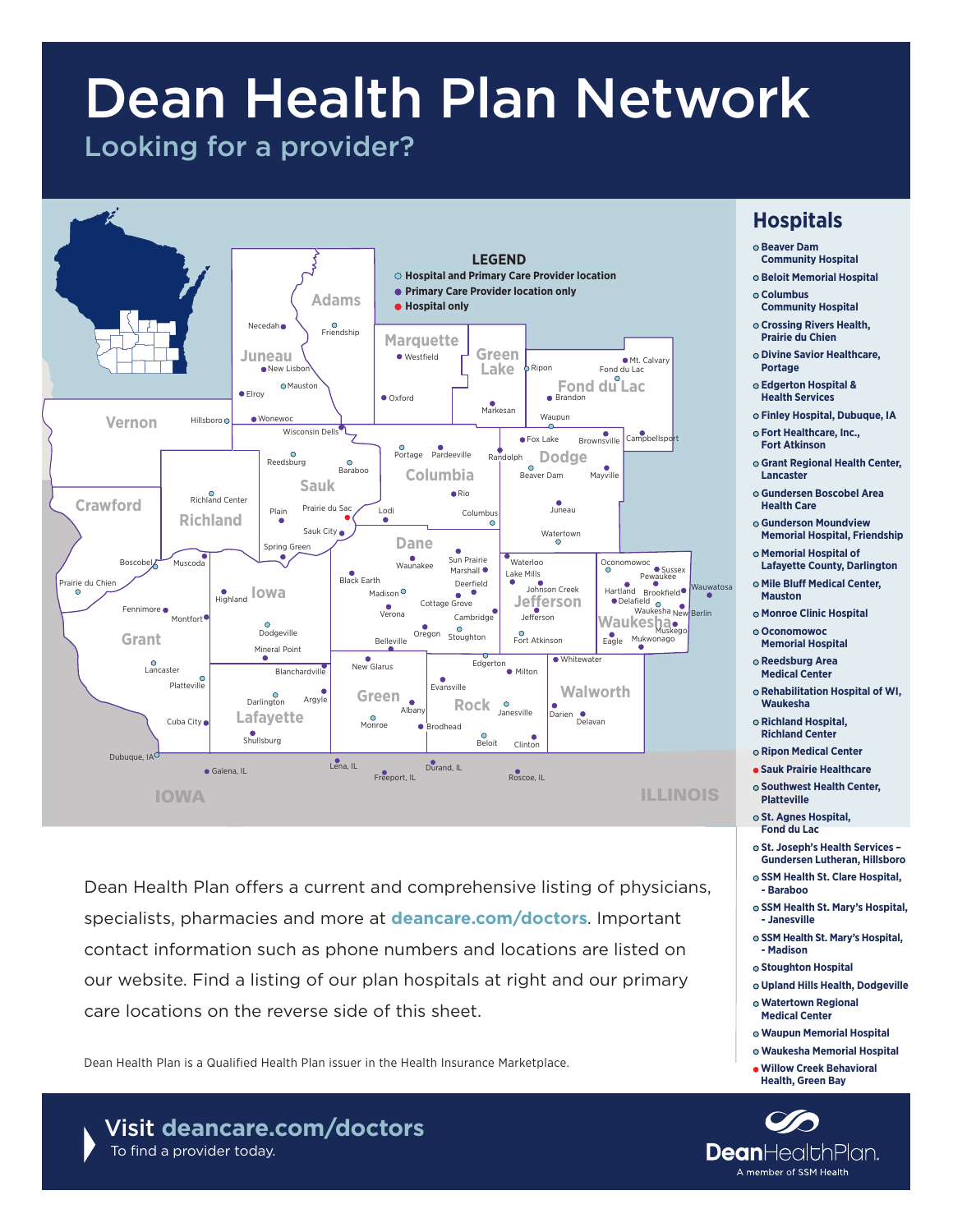# Dean Health Plan Network

# Looking for a provider?



Dean Health Plan offers a current and comprehensive listing of physicians, specialists, pharmacies and more at **[deancare.com/doctors](http://deancare.com/doctors)**. Important contact information such as phone numbers and locations are listed on our website. Find a listing of our plan hospitals at right and our primary care locations on the reverse side of this sheet.

Dean Health Plan is a Qualified Health Plan issuer in the Health Insurance Marketplace.

![](_page_0_Picture_5.jpeg)

# **Hospitals**

- **Beaver Dam**
- **Community Hospital Beloit Memorial Hospital**
- **Columbus**
- **Community Hospital Crossing Rivers Health,**
- **Prairie du Chien**
- **Divine Savior Healthcare, Portage**
- **Edgerton Hospital & Health Services**
- **Finley Hospital, Dubuque, IA**
- **Fort Healthcare, Inc., Fort Atkinson**
- **Grant Regional Health Center, Lancaster**
- **Gundersen Boscobel Area Health Care**
- **Gunderson Moundview Memorial Hospital, Friendship**
- **Memorial Hospital of Lafayette County, Darlington**
- **Mile Bluff Medical Center, Mauston**
- **Monroe Clinic Hospital**
- **Oconomowoc Memorial Hospital**
- **Reedsburg Area**
- **Medical Center**
- **Rehabilitation Hospital of WI, Waukesha**
- **Richland Hospital, Richland Center**
- **Ripon Medical Center**
- **Sauk Prairie Healthcare**
- **Southwest Health Center, Platteville**
- **St. Agnes Hospital, Fond du Lac**
- **St. Joseph's Health Services Gundersen Lutheran, Hillsboro**
- **SSM Health St. Clare Hospital, - Baraboo**
- **SSM Health St. Mary's Hospital, - Janesville**
- **SSM Health St. Mary's Hospital, - Madison**
- **Stoughton Hospital**
- **Upland Hills Health, Dodgeville**
- **Watertown Regional Medical Center**
- **Waupun Memorial Hospital**
- **Waukesha Memorial Hospital**
- **Willow Creek Behavioral Health, Green Bay**

![](_page_0_Picture_41.jpeg)